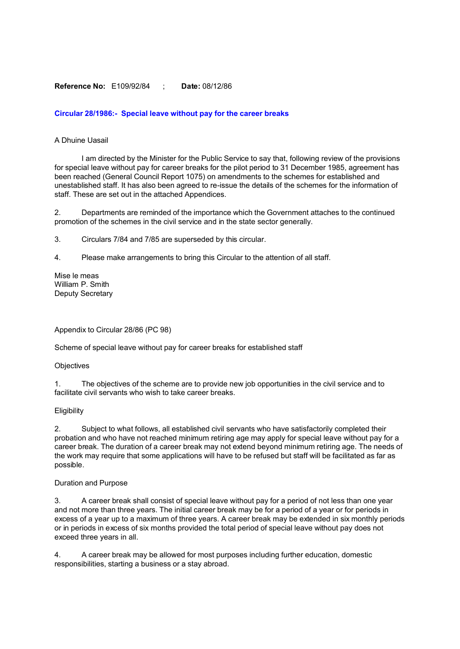#### **Reference No:** E109/92/84 ; **Date:** 08/12/86

# **Circular 28/1986:- Special leave without pay for the career breaks**

#### A Dhuine Uasail

I am directed by the Minister for the Public Service to say that, following review of the provisions for special leave without pay for career breaks for the pilot period to 31 December 1985, agreement has been reached (General Council Report 1075) on amendments to the schemes for established and unestablished staff. It has also been agreed to re-issue the details of the schemes for the information of staff. These are set out in the attached Appendices.

2. Departments are reminded of the importance which the Government attaches to the continued promotion of the schemes in the civil service and in the state sector generally.

3. Circulars 7/84 and 7/85 are superseded by this circular.

4. Please make arrangements to bring this Circular to the attention of all staff.

Mise le meas William P. Smith Deputy Secretary

Appendix to Circular 28/86 (PC 98)

Scheme of special leave without pay for career breaks for established staff

#### **Objectives**

1. The objectives of the scheme are to provide new job opportunities in the civil service and to facilitate civil servants who wish to take career breaks.

#### **Eligibility**

2. Subject to what follows, all established civil servants who have satisfactorily completed their probation and who have not reached minimum retiring age may apply for special leave without pay for a career break. The duration of a career break may not extend beyond minimum retiring age. The needs of the work may require that some applications will have to be refused but staff will be facilitated as far as possible.

#### Duration and Purpose

3. A career break shall consist of special leave without pay for a period of not less than one year and not more than three years. The initial career break may be for a period of a year or for periods in excess of a year up to a maximum of three years. A career break may be extended in six monthly periods or in periods in excess of six months provided the total period of special leave without pay does not exceed three years in all.

4. A career break may be allowed for most purposes including further education, domestic responsibilities, starting a business or a stay abroad.